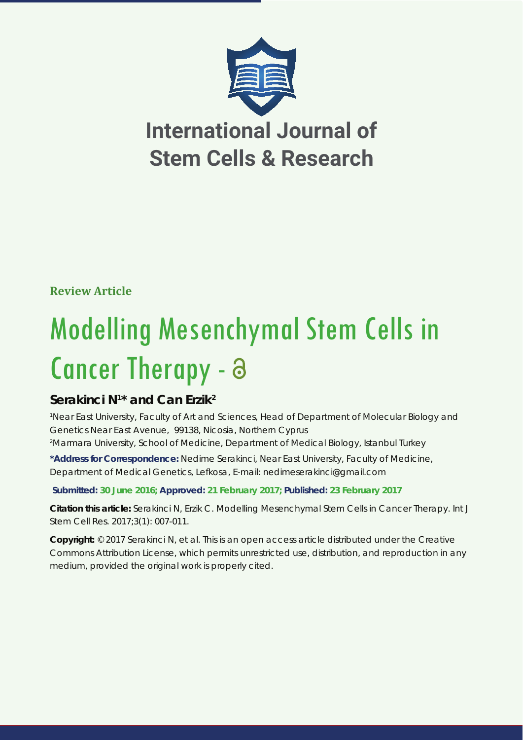

**Review Article** 

# Modelling Mesenchymal Stem Cells in Cancer Therapy - a

# **Serakinci N1 \* and Can Erzik2**

*1 Near East University, Faculty of Art and Sciences, Head of Department of Molecular Biology and Genetics Near East Avenue, 99138, Nicosia, Northern Cyprus 2 Marmara University, School of Medicine, Department of Medical Biology, Istanbul Turkey*

**\*Address for Correspondence:** Nedime Serakinci, Near East University, Faculty of Medicine, Department of Medical Genetics, Lefkosa, E-mail: nedimeserakinci@gmail.com

# **Submitted: 30 June 2016; Approved: 21 February 2017; Published: 23 February 2017**

**Citation this article:** Serakinci N, Erzik C. Modelling Mesenchymal Stem Cells in Cancer Therapy. Int J Stem Cell Res. 2017;3(1): 007-011.

**Copyright:** © 2017 Serakinci N, et al. This is an open access article distributed under the Creative Commons Attribution License, which permits unrestricted use, distribution, and reproduction in any medium, provided the original work is properly cited.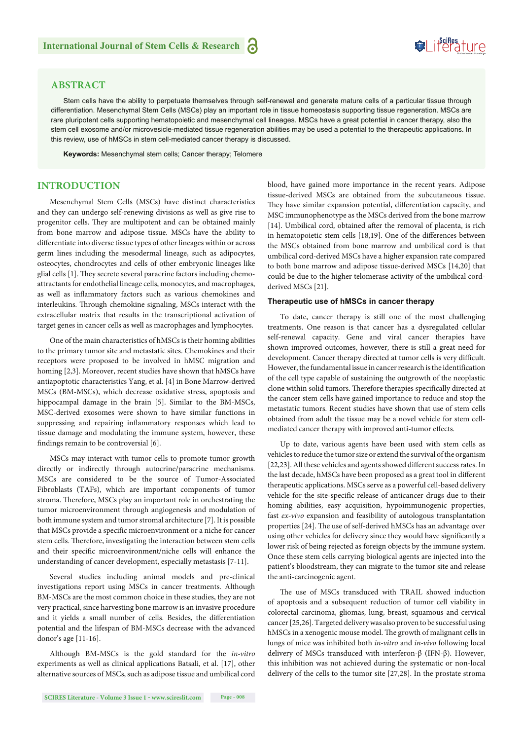# **ABSTRACT**

Stem cells have the ability to perpetuate themselves through self-renewal and generate mature cells of a particular tissue through differentiation. Mesenchymal Stem Cells (MSCs) play an important role in tissue homeostasis supporting tissue regeneration. MSCs are rare pluripotent cells supporting hematopoietic and mesenchymal cell lineages. MSCs have a great potential in cancer therapy, also the stem cell exosome and/or microvesicle-mediated tissue regeneration abilities may be used a potential to the therapeutic applications. In this review, use of hMSCs in stem cell-mediated cancer therapy is discussed.

**Keywords:** Mesenchymal stem cells; Cancer therapy; Telomere

## **INTRODUCTION**

Mesenchymal Stem Cells (MSCs) have distinct characteristics and they can undergo self-renewing divisions as well as give rise to progenitor cells. They are multipotent and can be obtained mainly from bone marrow and adipose tissue. MSCs have the ability to differentiate into diverse tissue types of other lineages within or across germ lines including the mesodermal lineage, such as adipocytes, osteocytes, chondrocytes and cells of other embryonic lineages like glial cells [1]. They secrete several paracrine factors including chemoattractants for endothelial lineage cells, monocytes, and macrophages, as well as inflammatory factors such as various chemokines and interleukins. Through chemokine signaling, MSCs interact with the extracellular matrix that results in the transcriptional activation of target genes in cancer cells as well as macrophages and lymphocytes.

One of the main characteristics of hMSCs is their homing abilities to the primary tumor site and metastatic sites. Chemokines and their receptors were proposed to be involved in hMSC migration and homing [2,3]. Moreover, recent studies have shown that hMSCs have antiapoptotic characteristics Yang, et al. [4] in Bone Marrow-derived MSCs (BM-MSCs), which decrease oxidative stress, apoptosis and hippocampal damage in the brain [5]. Similar to the BM-MSCs, MSC-derived exosomes were shown to have similar functions in suppressing and repairing inflammatory responses which lead to tissue damage and modulating the immune system, however, these findings remain to be controversial [6].

MSCs may interact with tumor cells to promote tumor growth directly or indirectly through autocrine/paracrine mechanisms. MSCs are considered to be the source of Tumor-Associated Fibroblasts (TAFs), which are important components of tumor stroma. Therefore, MSCs play an important role in orchestrating the tumor microenvironment through angiogenesis and modulation of both immune system and tumor stromal architecture [7]. It is possible that MSCs provide a specific microenvironment or a niche for cancer stem cells. Therefore, investigating the interaction between stem cells and their specific microenvironment/niche cells will enhance the understanding of cancer development, especially metastasis [7-11].

Several studies including animal models and pre-clinical investigations report using MSCs in cancer treatments. Although BM-MSCs are the most common choice in these studies, they are not very practical, since harvesting bone marrow is an invasive procedure and it yields a small number of cells. Besides, the differentiation potential and the lifespan of BM-MSCs decrease with the advanced donor's age [11-16].

Although BM-MSCs is the gold standard for the *in-vitro*  experiments as well as clinical applications Batsali, et al. [17], other alternative sources of MSCs, such as adipose tissue and umbilical cord blood, have gained more importance in the recent years. Adipose tissue-derived MSCs are obtained from the subcutaneous tissue. They have similar expansion potential, differentiation capacity, and MSC immunophenotype as the MSCs derived from the bone marrow [14]. Umbilical cord, obtained after the removal of placenta, is rich in hematopoietic stem cells [18,19]. One of the differences between the MSCs obtained from bone marrow and umbilical cord is that umbilical cord-derived MSCs have a higher expansion rate compared to both bone marrow and adipose tissue-derived MSCs [14,20] that could be due to the higher telomerase activity of the umbilical cordderived MSCs [21].

Suifes ture

#### **Therapeutic use of hMSCs in cancer therapy**

To date, cancer therapy is still one of the most challenging treatments. One reason is that cancer has a dysregulated cellular self-renewal capacity. Gene and viral cancer therapies have shown improved outcomes, however, there is still a great need for development. Cancer therapy directed at tumor cells is very difficult. However, the fundamental issue in cancer research is the identification of the cell type capable of sustaining the outgrowth of the neoplastic clone within solid tumors. Therefore therapies specifically directed at the cancer stem cells have gained importance to reduce and stop the metastatic tumors. Recent studies have shown that use of stem cells obtained from adult the tissue may be a novel vehicle for stem cellmediated cancer therapy with improved anti-tumor effects.

Up to date, various agents have been used with stem cells as vehicles to reduce the tumor size or extend the survival of the organism [22,23]. All these vehicles and agents showed different success rates. In the last decade, hMSCs have been proposed as a great tool in different therapeutic applications. MSCs serve as a powerful cell-based delivery vehicle for the site-specific release of anticancer drugs due to their homing abilities, easy acquisition, hypoimmunogenic properties, fast *ex-vivo* expansion and feasibility of autologous transplantation properties [24]. The use of self-derived hMSCs has an advantage over using other vehicles for delivery since they would have significantly a lower risk of being rejected as foreign objects by the immune system. Once these stem cells carrying biological agents are injected into the patient's bloodstream, they can migrate to the tumor site and release the anti-carcinogenic agent.

The use of MSCs transduced with TRAIL showed induction of apoptosis and a subsequent reduction of tumor cell viability in colorectal carcinoma, gliomas, lung, breast, squamous and cervical cancer [25,26]. Targeted delivery was also proven to be successful using hMSCs in a xenogenic mouse model. The growth of malignant cells in lungs of mice was inhibited both *in-vitro* and *in-vivo* following local delivery of MSCs transduced with interferon-β (IFN-β). However, this inhibition was not achieved during the systematic or non-local delivery of the cells to the tumor site [27,28]. In the prostate stroma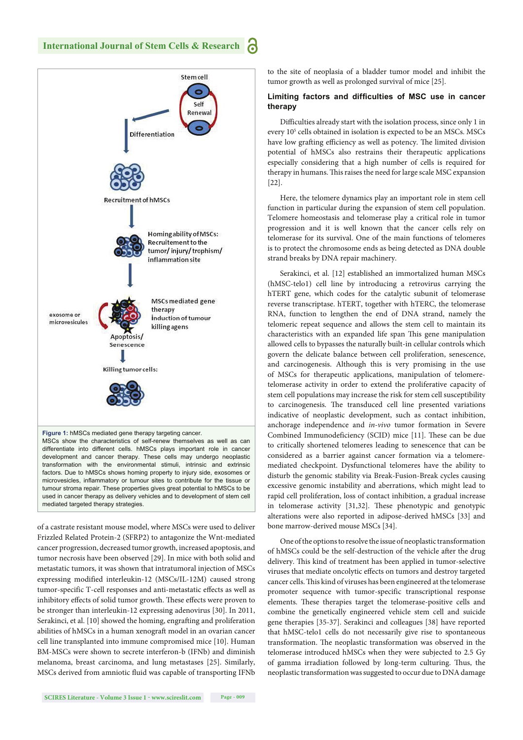

of a castrate resistant mouse model, where MSCs were used to deliver Frizzled Related Protein-2 (SFRP2) to antagonize the Wnt-mediated cancer progression, decreased tumor growth, increased apoptosis, and tumor necrosis have been observed [29]. In mice with both solid and metastatic tumors, it was shown that intratumoral injection of MSCs expressing modified interleukin-12 (MSCs/IL-12M) caused strong tumor-specific T-cell responses and anti-metastatic effects as well as inhibitory effects of solid tumor growth. These effects were proven to be stronger than interleukin-12 expressing adenovirus [30]. In 2011, Serakinci, et al. [10] showed the homing, engrafting and proliferation abilities of hMSCs in a human xenograft model in an ovarian cancer cell line transplanted into immune compromised mice [10]. Human BM-MSCs were shown to secrete interferon-b (IFNb) and diminish melanoma, breast carcinoma, and lung metastases [25]. Similarly, MSCs derived from amniotic fluid was capable of transporting IFNb

to the site of neoplasia of a bladder tumor model and inhibit the tumor growth as well as prolonged survival of mice [25].

#### Limiting factors and difficulties of MSC use in cancer **therapy**

Difficulties already start with the isolation process, since only 1 in every 10<sup>5</sup> cells obtained in isolation is expected to be an MSCs. MSCs have low grafting efficiency as well as potency. The limited division potential of hMSCs also restrains their therapeutic applications especially considering that a high number of cells is required for therapy in humans. This raises the need for large scale MSC expansion [22].

Here, the telomere dynamics play an important role in stem cell function in particular during the expansion of stem cell population. Telomere homeostasis and telomerase play a critical role in tumor progression and it is well known that the cancer cells rely on telomerase for its survival. One of the main functions of telomeres is to protect the chromosome ends as being detected as DNA double strand breaks by DNA repair machinery.

Serakinci, et al. [12] established an immortalized human MSCs (hMSC-telo1) cell line by introducing a retrovirus carrying the hTERT gene, which codes for the catalytic subunit of telomerase reverse transcriptase. hTERT, together with hTERC, the telomerase RNA, function to lengthen the end of DNA strand, namely the telomeric repeat sequence and allows the stem cell to maintain its characteristics with an expanded life span This gene manipulation allowed cells to bypasses the naturally built-in cellular controls which govern the delicate balance between cell proliferation, senescence, and carcinogenesis. Although this is very promising in the use of MSCs for therapeutic applications, manipulation of telomeretelomerase activity in order to extend the proliferative capacity of stem cell populations may increase the risk for stem cell susceptibility to carcinogenesis. The transduced cell line presented variations indicative of neoplastic development, such as contact inhibition, anchorage independence and *in-vivo* tumor formation in Severe Combined Immunodeficiency (SCID) mice [11]. These can be due to critically shortened telomeres leading to senescence that can be considered as a barrier against cancer formation via a telomeremediated checkpoint. Dysfunctional telomeres have the ability to disturb the genomic stability via Break-Fusion-Break cycles causing excessive genomic instability and aberrations, which might lead to rapid cell proliferation, loss of contact inhibition, a gradual increase in telomerase activity [31,32]. These phenotypic and genotypic alterations were also reported in adipose-derived hMSCs [33] and bone marrow-derived mouse MSCs [34].

One of the options to resolve the issue of neoplastic transformation of hMSCs could be the self-destruction of the vehicle after the drug delivery. This kind of treatment has been applied in tumor-selective viruses that mediate oncolytic effects on tumors and destroy targeted cancer cells. This kind of viruses has been engineered at the telomerase promoter sequence with tumor-specific transcriptional response elements. These therapies target the telomerase-positive cells and combine the genetically engineered vehicle stem cell and suicide gene therapies [35-37]. Serakinci and colleagues [38] have reported that hMSC-telo1 cells do not necessarily give rise to spontaneous transformation. The neoplastic transformation was observed in the telomerase introduced hMSCs when they were subjected to 2.5 Gy of gamma irradiation followed by long-term culturing. Thus, the neoplastic transformation was suggested to occur due to DNA damage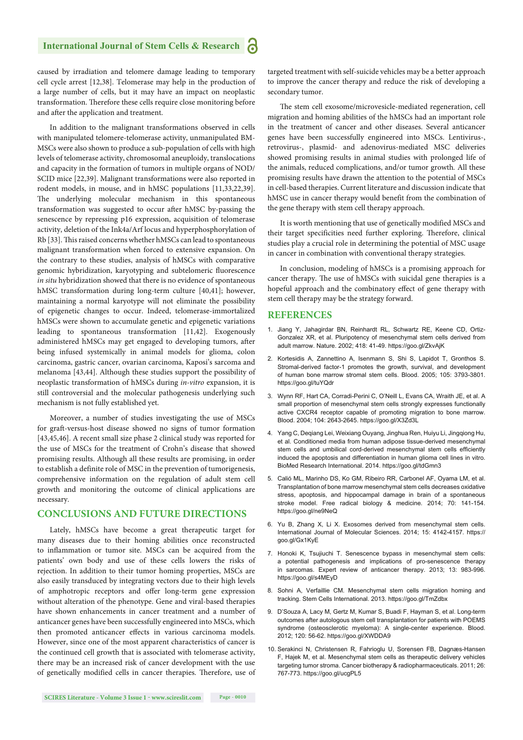# **International Journal of Stem Cells & Research**

caused by irradiation and telomere damage leading to temporary cell cycle arrest [12,38]. Telomerase may help in the production of a large number of cells, but it may have an impact on neoplastic transformation. Therefore these cells require close monitoring before and after the application and treatment.

In addition to the malignant transformations observed in cells with manipulated telomere-telomerase activity, unmanipulated BM-MSCs were also shown to produce a sub-population of cells with high levels of telomerase activity, chromosomal aneuploidy, translocations and capacity in the formation of tumors in multiple organs of NOD/ SCID mice [22,39]. Malignant transformations were also reported in rodent models, in mouse, and in hMSC populations [11,33,22,39]. The underlying molecular mechanism in this spontaneous transformation was suggested to occur after hMSC by-passing the senescence by repressing p16 expression, acquisition of telomerase activity, deletion of the Ink4a/Arf locus and hyperphosphorylation of Rb [33]. This raised concerns whether hMSCs can lead to spontaneous malignant transformation when forced to extensive expansion. On the contrary to these studies, analysis of hMSCs with comparative genomic hybridization, karyotyping and subtelomeric fluorescence *in situ* hybridization showed that there is no evidence of spontaneous hMSC transformation during long-term culture [40,41]; however, maintaining a normal karyotype will not eliminate the possibility of epigenetic changes to occur. Indeed, telomerase-immortalized hMSCs were shown to accumulate genetic and epigenetic variations leading to spontaneous transformation [11,42]. Exogenously administered hMSCs may get engaged to developing tumors, after being infused systemically in animal models for glioma, colon carcinoma, gastric cancer, ovarian carcinoma, Kaposi's sarcoma and melanoma [43,44]. Although these studies support the possibility of neoplastic transformation of hMSCs during *in-vitro* expansion, it is still controversial and the molecular pathogenesis underlying such mechanism is not fully established yet.

Moreover, a number of studies investigating the use of MSCs for graft -versus-host disease showed no signs of tumor formation [43,45,46]. A recent small size phase 2 clinical study was reported for the use of MSCs for the treatment of Crohn's disease that showed promising results. Although all these results are promising, in order to establish a definite role of MSC in the prevention of tumorigenesis, comprehensive information on the regulation of adult stem cell growth and monitoring the outcome of clinical applications are necessary.

#### **CONCLUSIONS AND FUTURE DIRECTIONS**

Lately, hMSCs have become a great therapeutic target for many diseases due to their homing abilities once reconstructed to inflammation or tumor site. MSCs can be acquired from the patients' own body and use of these cells lowers the risks of rejection. In addition to their tumor homing properties, MSCs are also easily transduced by integrating vectors due to their high levels of amphotropic receptors and offer long-term gene expression without alteration of the phenotype. Gene and viral-based therapies have shown enhancements in cancer treatment and a number of anticancer genes have been successfully engineered into MSCs, which then promoted anticancer effects in various carcinoma models. However, since one of the most apparent characteristics of cancer is the continued cell growth that is associated with telomerase activity, there may be an increased risk of cancer development with the use of genetically modified cells in cancer therapies. Therefore, use of targeted treatment with self-suicide vehicles may be a better approach to improve the cancer therapy and reduce the risk of developing a secondary tumor.

The stem cell exosome/microvesicle-mediated regeneration, cell migration and homing abilities of the hMSCs had an important role in the treatment of cancer and other diseases. Several anticancer genes have been successfully engineered into MSCs. Lentivirus-, retrovirus-, plasmid- and adenovirus-mediated MSC deliveries showed promising results in animal studies with prolonged life of the animals, reduced complications, and/or tumor growth*.* All these promising results have drawn the attention to the potential of MSCs in cell-based therapies. Current literature and discussion indicate that hMSC use in cancer therapy would benefit from the combination of the gene therapy with stem cell therapy approach.

It is worth mentioning that use of genetically modified MSCs and their target specificities need further exploring. Therefore, clinical studies play a crucial role in determining the potential of MSC usage in cancer in combination with conventional therapy strategies.

In conclusion, modeling of hMSCs is a promising approach for cancer therapy. The use of hMSCs with suicidal gene therapies is a hopeful approach and the combinatory effect of gene therapy with stem cell therapy may be the strategy forward.

#### **REFERENCES**

- 1. Jiang Y, Jahagirdar BN, Reinhardt RL, Schwartz RE, Keene CD, Ortiz-Gonzalez XR, et al. Pluripotency of mesenchymal stem cells derived from adult marrow. Nature. 2002; 418: 41-49. https://goo.gl/ZkvAjK
- 2. Kortesidis A, Zannettino A, Isenmann S, Shi S, Lapidot T, Gronthos S. Stromal-derived factor-1 promotes the growth, survival, and development of human bone marrow stromal stem cells. Blood. 2005; 105: 3793-3801. https://goo.gl/tuYQdr
- 3. Wynn RF, Hart CA, Corradi-Perini C, O'Neill L, Evans CA, Wraith JE, et al. A small proportion of mesenchymal stem cells strongly expresses functionally active CXCR4 receptor capable of promoting migration to bone marrow. Blood. 2004; 104: 2643-2645. https://goo.gl/X3Zd3L
- 4. Yang C, Deqiang Lei, Weixiang Ouyang, Jinghua Ren, Huiyu Li, Jingqiong Hu, et al. Conditioned media from human adipose tissue-derived mesenchymal stem cells and umbilical cord-derived mesenchymal stem cells efficiently induced the apoptosis and differentiation in human glioma cell lines in vitro. BioMed Research International. 2014. https://goo.gl/tdGmn3
- 5. Calió ML, Marinho DS, Ko GM, Ribeiro RR, Carbonel AF, Oyama LM, et al. Transplantation of bone marrow mesenchymal stem cells decreases oxidative stress, apoptosis, and hippocampal damage in brain of a spontaneous stroke model. Free radical biology & medicine. 2014; 70: 141-154. https://goo.gl/ne9NeQ
- 6. Yu B, Zhang X, Li X. Exosomes derived from mesenchymal stem cells. International Journal of Molecular Sciences. 2014; 15: 4142-4157. https:// goo.gl/Gx1KyE
- 7. Honoki K, Tsujiuchi T. Senescence bypass in mesenchymal stem cells: a potential pathogenesis and implications of pro-senescence therapy in sarcomas. Expert review of anticancer therapy. 2013; 13: 983-996. https://goo.gl/s4MEyD
- 8. Sohni A, Verfaillie CM. Mesenchymal stem cells migration homing and tracking. Stem Cells International. 2013. https://goo.gl/TmZdbx
- 9. D'Souza A, Lacy M, Gertz M, Kumar S, Buadi F, Hayman S, et al. Long-term outcomes after autologous stem cell transplantation for patients with POEMS syndrome (osteosclerotic myeloma): A single-center experience. Blood. 2012; 120: 56-62. https://goo.gl/XWDDA9
- 10. Serakinci N, Christensen R, Fahrioglu U, Sorensen FB, Dagnæs-Hansen F, Hajek M, et al. Mesenchymal stem cells as therapeutic delivery vehicles targeting tumor stroma. Cancer biotherapy & radiopharmaceuticals. 2011; 26: 767-773. https://goo.gl/ucgPL5